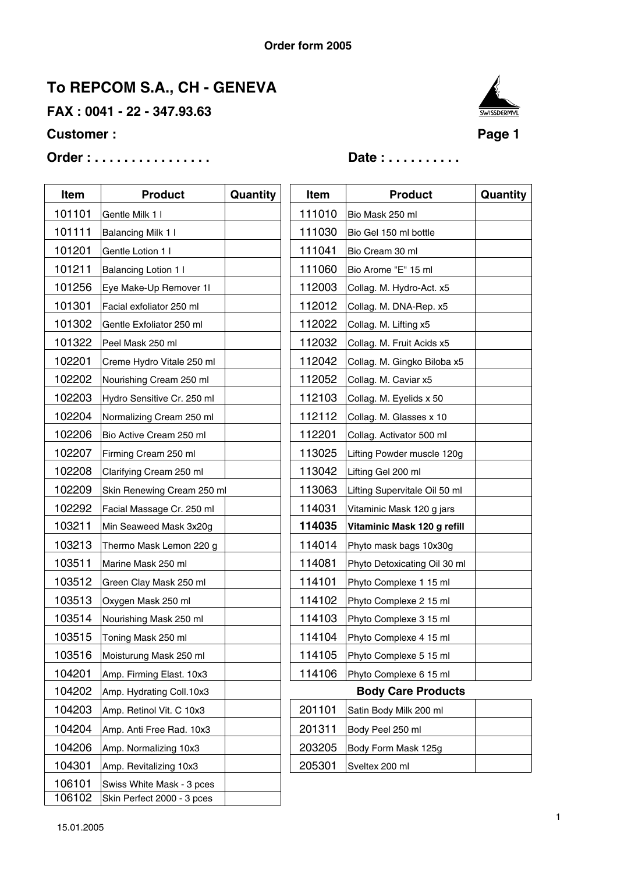**FAX : 0041 - 22 - 347.93.63**

### **Customer :** Page 1

# **Order : . . . . . . . . . . . . . . . . Date : . . . . . . . . . .**



| Item   | <b>Product</b>             | Quantity | <b>Item</b> | <b>Product</b>                |
|--------|----------------------------|----------|-------------|-------------------------------|
| 101101 | Gentle Milk 1 I            |          | 111010      | Bio Mask 250 ml               |
| 101111 | Balancing Milk 1 I         |          | 111030      | Bio Gel 150 ml bottle         |
| 101201 | Gentle Lotion 1 I          |          | 111041      | Bio Cream 30 ml               |
| 101211 | Balancing Lotion 1 I       |          | 111060      | Bio Arome "E" 15 ml           |
| 101256 | Eye Make-Up Remover 1I     |          | 112003      | Collag. M. Hydro-Act. x5      |
| 101301 | Facial exfoliator 250 ml   |          | 112012      | Collag. M. DNA-Rep. x5        |
| 101302 | Gentle Exfoliator 250 ml   |          | 112022      | Collag. M. Lifting x5         |
| 101322 | Peel Mask 250 ml           |          | 112032      | Collag. M. Fruit Acids x5     |
| 102201 | Creme Hydro Vitale 250 ml  |          | 112042      | Collag. M. Gingko Biloba x5   |
| 102202 | Nourishing Cream 250 ml    |          | 112052      | Collag. M. Caviar x5          |
| 102203 | Hydro Sensitive Cr. 250 ml |          | 112103      | Collag. M. Eyelids x 50       |
| 102204 | Normalizing Cream 250 ml   |          | 112112      | Collag. M. Glasses x 10       |
| 102206 | Bio Active Cream 250 ml    |          | 112201      | Collag. Activator 500 ml      |
| 102207 | Firming Cream 250 ml       |          | 113025      | Lifting Powder muscle 120g    |
| 102208 | Clarifying Cream 250 ml    |          | 113042      | Lifting Gel 200 ml            |
| 102209 | Skin Renewing Cream 250 ml |          | 113063      | Lifting Supervitale Oil 50 ml |
| 102292 | Facial Massage Cr. 250 ml  |          | 114031      | Vitaminic Mask 120 g jars     |
| 103211 | Min Seaweed Mask 3x20g     |          | 114035      | Vitaminic Mask 120 g refill   |
| 103213 | Thermo Mask Lemon 220 g    |          | 114014      | Phyto mask bags 10x30g        |
| 103511 | Marine Mask 250 ml         |          | 114081      | Phyto Detoxicating Oil 30 ml  |
| 103512 | Green Clay Mask 250 ml     |          | 114101      | Phyto Complexe 1 15 ml        |
| 103513 | Oxygen Mask 250 ml         |          | 114102      | Phyto Complexe 2 15 ml        |
| 103514 | Nourishing Mask 250 ml     |          | 114103      | Phyto Complexe 3 15 ml        |
| 103515 | Toning Mask 250 ml         |          | 114104      | Phyto Complexe 4 15 ml        |
| 103516 | Moisturung Mask 250 ml     |          | 114105      | Phyto Complexe 5 15 ml        |
| 104201 | Amp. Firming Elast. 10x3   |          | 114106      | Phyto Complexe 6 15 ml        |
| 104202 | Amp. Hydrating Coll.10x3   |          |             | <b>Body Care Products</b>     |
| 104203 | Amp. Retinol Vit. C 10x3   |          | 201101      | Satin Body Milk 200 ml        |
| 104204 | Amp. Anti Free Rad. 10x3   |          | 201311      | Body Peel 250 ml              |
| 104206 | Amp. Normalizing 10x3      |          | 203205      | Body Form Mask 125g           |
| 104301 | Amp. Revitalizing 10x3     |          | 205301      | Sveltex 200 ml                |
| 106101 | Swiss White Mask - 3 pces  |          |             |                               |
| 106102 | Skin Perfect 2000 - 3 pces |          |             |                               |

| ltem  | <b>Product</b>             | Quantity | Item   | <b>Product</b>                | Quantity |
|-------|----------------------------|----------|--------|-------------------------------|----------|
| 01101 | Gentle Milk 1 I            |          | 111010 | Bio Mask 250 ml               |          |
|       |                            |          |        |                               |          |
| 01111 | Balancing Milk 1 I         |          | 111030 | Bio Gel 150 ml bottle         |          |
| 01201 | Gentle Lotion 1 I          |          | 111041 | Bio Cream 30 ml               |          |
| 01211 | Balancing Lotion 1 I       |          | 111060 | Bio Arome "E" 15 ml           |          |
| 01256 | Eye Make-Up Remover 1I     |          | 112003 | Collag. M. Hydro-Act. x5      |          |
| 01301 | Facial exfoliator 250 ml   |          | 112012 | Collag. M. DNA-Rep. x5        |          |
| 01302 | Gentle Exfoliator 250 ml   |          | 112022 | Collag. M. Lifting x5         |          |
| 01322 | Peel Mask 250 ml           |          | 112032 | Collag. M. Fruit Acids x5     |          |
| 02201 | Creme Hydro Vitale 250 ml  |          | 112042 | Collag. M. Gingko Biloba x5   |          |
| 02202 | Nourishing Cream 250 ml    |          | 112052 | Collag. M. Caviar x5          |          |
| 02203 | Hydro Sensitive Cr. 250 ml |          | 112103 | Collag. M. Eyelids x 50       |          |
| 02204 | Normalizing Cream 250 ml   |          | 112112 | Collag. M. Glasses x 10       |          |
| 02206 | Bio Active Cream 250 ml    |          | 112201 | Collag. Activator 500 ml      |          |
| 02207 | Firming Cream 250 ml       |          | 113025 | Lifting Powder muscle 120g    |          |
| 02208 | Clarifying Cream 250 ml    |          | 113042 | Lifting Gel 200 ml            |          |
| 02209 | Skin Renewing Cream 250 ml |          | 113063 | Lifting Supervitale Oil 50 ml |          |
| 02292 | Facial Massage Cr. 250 ml  |          | 114031 | Vitaminic Mask 120 g jars     |          |
| 03211 | Min Seaweed Mask 3x20g     |          | 114035 | Vitaminic Mask 120 g refill   |          |
| 03213 | Thermo Mask Lemon 220 g    |          | 114014 | Phyto mask bags 10x30g        |          |
| 03511 | Marine Mask 250 ml         |          | 114081 | Phyto Detoxicating Oil 30 ml  |          |
| 03512 | Green Clay Mask 250 ml     |          | 114101 | Phyto Complexe 1 15 ml        |          |
| 03513 | Oxygen Mask 250 ml         |          | 114102 | Phyto Complexe 2 15 ml        |          |
| 03514 | Nourishing Mask 250 ml     |          | 114103 | Phyto Complexe 3 15 ml        |          |
| 03515 | Toning Mask 250 ml         |          | 114104 | Phyto Complexe 4 15 ml        |          |
| 03516 | Moisturung Mask 250 ml     |          | 114105 | Phyto Complexe 5 15 ml        |          |
| 04201 | Amp. Firming Elast. 10x3   |          | 114106 | Phyto Complexe 6 15 ml        |          |
| 04202 | Amp. Hydrating Coll.10x3   |          |        | <b>Body Care Products</b>     |          |
| .     |                            |          | .      |                               |          |

| 201101 | Satin Body Milk 200 ml     |  |
|--------|----------------------------|--|
|        | 201311   Body Peel 250 ml  |  |
|        | 203205 Body Form Mask 125g |  |
|        | 205301 Sveltex 200 ml      |  |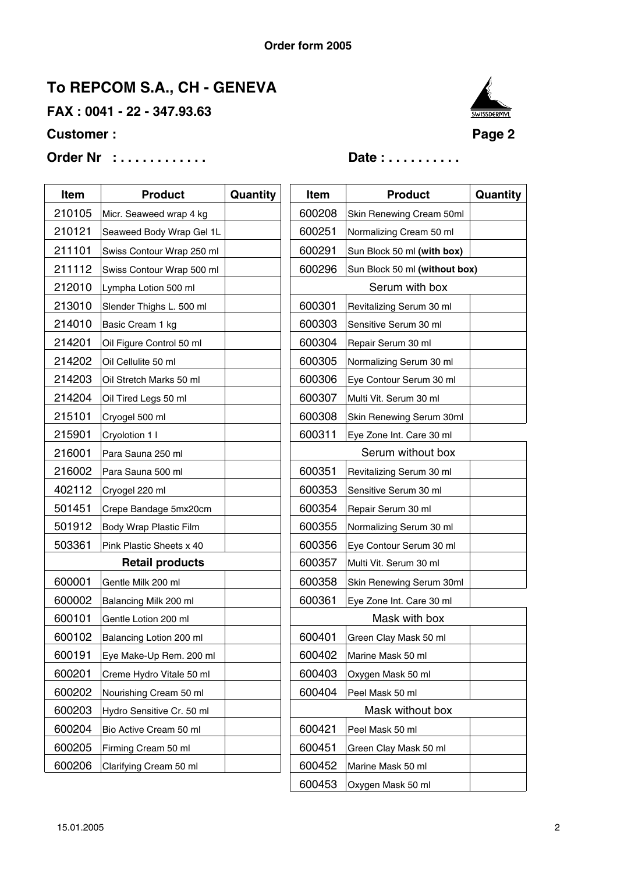**FAX : 0041 - 22 - 347.93.63**

### **Customer :** Page 2





| Item   | <b>Product</b>            | Quantity | Item   | <b>Product</b>                | Quantity |
|--------|---------------------------|----------|--------|-------------------------------|----------|
| 210105 | Micr. Seaweed wrap 4 kg   |          | 600208 | Skin Renewing Cream 50ml      |          |
| 210121 | Seaweed Body Wrap Gel 1L  |          | 600251 | Normalizing Cream 50 ml       |          |
| 211101 | Swiss Contour Wrap 250 ml |          | 600291 | Sun Block 50 ml (with box)    |          |
| 211112 | Swiss Contour Wrap 500 ml |          | 600296 | Sun Block 50 ml (without box) |          |
| 212010 | Lympha Lotion 500 ml      |          |        | Serum with box                |          |
| 213010 | Slender Thighs L. 500 ml  |          | 600301 | Revitalizing Serum 30 ml      |          |
| 214010 | Basic Cream 1 kg          |          | 600303 | Sensitive Serum 30 ml         |          |
| 214201 | Oil Figure Control 50 ml  |          | 600304 | Repair Serum 30 ml            |          |
| 214202 | Oil Cellulite 50 ml       |          | 600305 | Normalizing Serum 30 ml       |          |
| 214203 | Oil Stretch Marks 50 ml   |          | 600306 | Eye Contour Serum 30 ml       |          |
| 214204 | Oil Tired Legs 50 ml      |          | 600307 | Multi Vit. Serum 30 ml        |          |
| 215101 | Cryogel 500 ml            |          | 600308 | Skin Renewing Serum 30ml      |          |
| 215901 | Cryolotion 1 I            |          | 600311 | Eye Zone Int. Care 30 ml      |          |
| 216001 | Para Sauna 250 ml         |          |        | Serum without box             |          |
| 216002 | Para Sauna 500 ml         |          | 600351 | Revitalizing Serum 30 ml      |          |
| 402112 | Cryogel 220 ml            |          | 600353 | Sensitive Serum 30 ml         |          |
| 501451 | Crepe Bandage 5mx20cm     |          | 600354 | Repair Serum 30 ml            |          |
| 501912 | Body Wrap Plastic Film    |          | 600355 | Normalizing Serum 30 ml       |          |
| 503361 | Pink Plastic Sheets x 40  |          | 600356 | Eye Contour Serum 30 ml       |          |
|        | <b>Retail products</b>    |          | 600357 | Multi Vit. Serum 30 ml        |          |
| 600001 | Gentle Milk 200 ml        |          | 600358 | Skin Renewing Serum 30ml      |          |
| 600002 | Balancing Milk 200 ml     |          | 600361 | Eye Zone Int. Care 30 ml      |          |
| 600101 | Gentle Lotion 200 ml      |          |        | Mask with box                 |          |
| 600102 | Balancing Lotion 200 ml   |          | 600401 | Green Clay Mask 50 ml         |          |
| 600191 | Eye Make-Up Rem. 200 ml   |          | 600402 | Marine Mask 50 ml             |          |
| 600201 | Creme Hydro Vitale 50 ml  |          | 600403 | Oxygen Mask 50 ml             |          |
| 600202 | Nourishing Cream 50 ml    |          | 600404 | Peel Mask 50 ml               |          |
| 600203 | Hydro Sensitive Cr. 50 ml |          |        | Mask without box              |          |
| 600204 | Bio Active Cream 50 ml    |          | 600421 | Peel Mask 50 ml               |          |
| 600205 | Firming Cream 50 ml       |          | 600451 | Green Clay Mask 50 ml         |          |
| 600206 | Clarifying Cream 50 ml    |          | 600452 | Marine Mask 50 ml             |          |
|        |                           |          | 600453 | Oxygen Mask 50 ml             |          |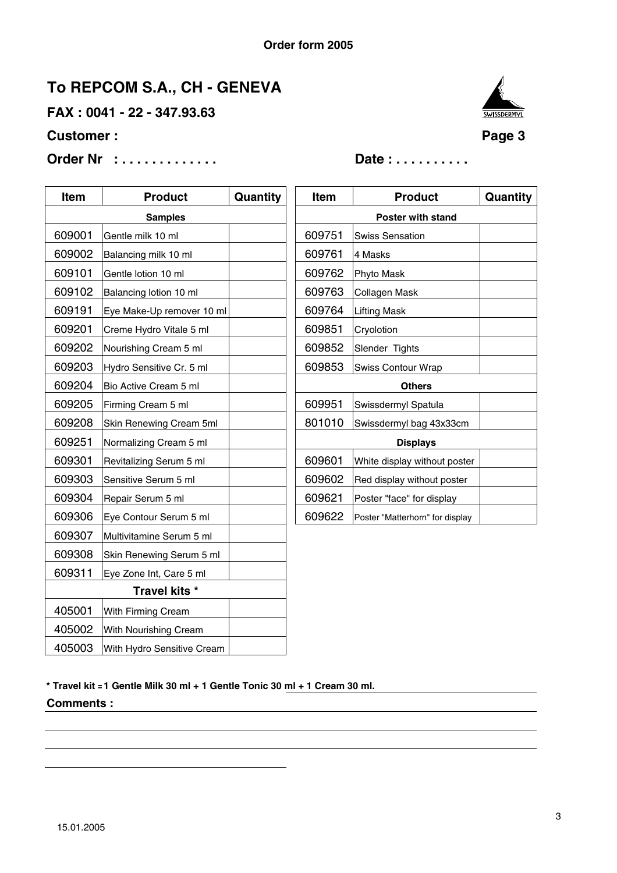**FAX : 0041 - 22 - 347.93.63**

### **Customer :** Page 3

**Order Nr : . . . . . . . . . . . . . Date : . . . . . . . . . .**

| <b>SWISSDERMYL</b> |
|--------------------|
|                    |

**Quantity** 

| Item           | <b>Product</b>             | Quantity |                   | Item   | <b>Product</b>                  |
|----------------|----------------------------|----------|-------------------|--------|---------------------------------|
| <b>Samples</b> |                            |          | Poster with stand |        |                                 |
| 609001         | Gentle milk 10 ml          |          |                   | 609751 | <b>Swiss Sensation</b>          |
| 609002         | Balancing milk 10 ml       |          |                   | 609761 | 4 Masks                         |
| 609101         | Gentle lotion 10 ml        |          |                   | 609762 | Phyto Mask                      |
| 609102         | Balancing lotion 10 ml     |          |                   | 609763 | Collagen Mask                   |
| 609191         | Eye Make-Up remover 10 ml  |          |                   | 609764 | <b>Lifting Mask</b>             |
| 609201         | Creme Hydro Vitale 5 ml    |          |                   | 609851 | Cryolotion                      |
| 609202         | Nourishing Cream 5 ml      |          |                   | 609852 | Slender Tights                  |
| 609203         | Hydro Sensitive Cr. 5 ml   |          |                   | 609853 | Swiss Contour Wrap              |
| 609204         | Bio Active Cream 5 ml      |          |                   |        | <b>Others</b>                   |
| 609205         | Firming Cream 5 ml         |          |                   | 609951 | Swissdermyl Spatula             |
| 609208         | Skin Renewing Cream 5ml    |          |                   | 801010 | Swissdermyl bag 43x33cm         |
| 609251         | Normalizing Cream 5 ml     |          | <b>Displays</b>   |        |                                 |
| 609301         | Revitalizing Serum 5 ml    |          |                   | 609601 | White display without poster    |
| 609303         | Sensitive Serum 5 ml       |          |                   | 609602 | Red display without poster      |
| 609304         | Repair Serum 5 ml          |          |                   | 609621 | Poster "face" for display       |
| 609306         | Eye Contour Serum 5 ml     |          |                   | 609622 | Poster "Matterhorn" for display |
| 609307         | Multivitamine Serum 5 ml   |          |                   |        |                                 |
| 609308         | Skin Renewing Serum 5 ml   |          |                   |        |                                 |
| 609311         | Eye Zone Int, Care 5 ml    |          |                   |        |                                 |
|                | Travel kits *              |          |                   |        |                                 |
| 405001         | With Firming Cream         |          |                   |        |                                 |
| 405002         | With Nourishing Cream      |          |                   |        |                                 |
| 405003         | With Hydro Sensitive Cream |          |                   |        |                                 |

**\* Travel kit =1 Gentle Milk 30 ml + 1 Gentle Tonic 30 ml + 1 Cream 30 ml. Comments :**